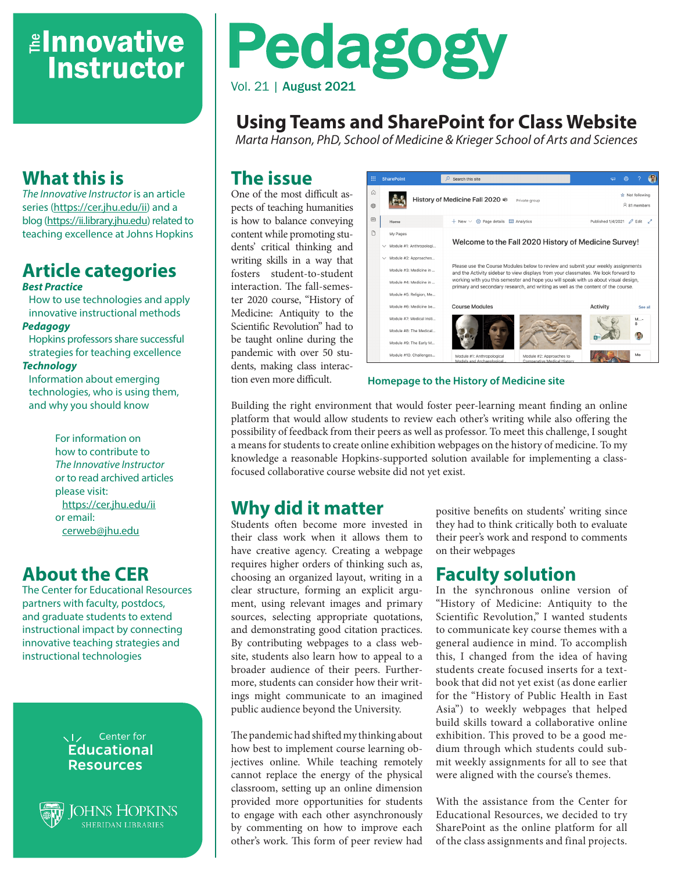## *<u>Elnnovative</u>* **Instructor**

### **What this is**

*The Innovative Instructor* is an article series (<https://cer.jhu.edu/ii>) and a blog [\(https://ii.library.jhu.edu\)](https://ii.library.jhu.edu) related to teaching excellence at Johns Hopkins

#### **Article categories** *Best Practice*

How to use technologies and apply innovative instructional methods

#### *Pedagogy*

Hopkins professors share successful strategies for teaching excellence

#### *Technology*

Information about emerging technologies, who is using them, and why you should know

> For information on how to contribute to *The Innovative Instructor* or to read archived articles please visit: <https://cer.jhu.edu/ii> or email: [cerweb@jhu.edu](mailto:cerweb%40jhu.edu?subject=Innovative%20Instructor%20inquiry)

### **About the CER**

The Center for Educational Resources partners with faculty, postdocs, and graduate students to extend instructional impact by connecting innovative teaching strategies and instructional technologies

#### VI<sub>Z</sub> Center for **Educational Resources**



**SOHNS HOPKINS** 

# Pedagogy Vol. 21 | August 2021

### **Using Teams and SharePoint for Class Website**

*Marta Hanson, PhD, School of Medicine & Krieger School of Arts and Sciences*

#### **The issue**

One of the most difficult aspects of teaching humanities is how to balance conveying content while promoting students' critical thinking and writing skills in a way that fosters student-to-student interaction. The fall-semester 2020 course, "History of Medicine: Antiquity to the Scientific Revolution" had to be taught online during the pandemic with over 50 students, making class interaction even more difficult.



**Homepage to the History of Medicine site**

Building the right environment that would foster peer-learning meant finding an online platform that would allow students to review each other's writing while also offering the possibility of feedback from their peers as well as professor. To meet this challenge, I sought a means for students to create online exhibition webpages on the history of medicine. To my knowledge a reasonable Hopkins-supported solution available for implementing a classfocused collaborative course website did not yet exist.

#### **Why did it matter**

Students often become more invested in their class work when it allows them to have creative agency. Creating a webpage requires higher orders of thinking such as, choosing an organized layout, writing in a clear structure, forming an explicit argument, using relevant images and primary sources, selecting appropriate quotations, and demonstrating good citation practices. By contributing webpages to a class website, students also learn how to appeal to a broader audience of their peers. Furthermore, students can consider how their writings might communicate to an imagined public audience beyond the University.

The pandemic had shifted my thinking about how best to implement course learning objectives online. While teaching remotely cannot replace the energy of the physical classroom, setting up an online dimension provided more opportunities for students to engage with each other asynchronously by commenting on how to improve each other's work. This form of peer review had positive benefits on students' writing since they had to think critically both to evaluate their peer's work and respond to comments on their webpages

### **Faculty solution**

In the synchronous online version of "History of Medicine: Antiquity to the Scientific Revolution," I wanted students to communicate key course themes with a general audience in mind. To accomplish this, I changed from the idea of having students create focused inserts for a textbook that did not yet exist (as done earlier for the "History of Public Health in East Asia") to weekly webpages that helped build skills toward a collaborative online exhibition. This proved to be a good medium through which students could submit weekly assignments for all to see that were aligned with the course's themes.

With the assistance from the Center for Educational Resources, we decided to try SharePoint as the online platform for all of the class assignments and final projects.